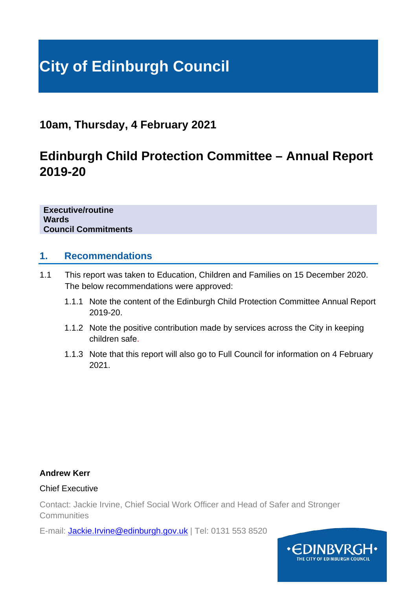# **City of Edinburgh Council**

# **10am, Thursday, 4 February 2021**

# **Edinburgh Child Protection Committee – Annual Report 2019-20**

**Executive/routine Wards Council Commitments**

# **1. Recommendations**

- 1.1 This report was taken to Education, Children and Families on 15 December 2020. The below recommendations were approved:
	- 1.1.1 Note the content of the Edinburgh Child Protection Committee Annual Report 2019-20.
	- 1.1.2 Note the positive contribution made by services across the City in keeping children safe.
	- 1.1.3 Note that this report will also go to Full Council for information on 4 February 2021.

# **Andrew Kerr**

## Chief Executive

Contact: Jackie Irvine, Chief Social Work Officer and Head of Safer and Stronger **Communities** 

E-mail: **[Jackie.Irvine@edinburgh.gov.uk](mailto:Jackie.Irvine@edinburgh.gov.uk)** | Tel: 0131 553 8520

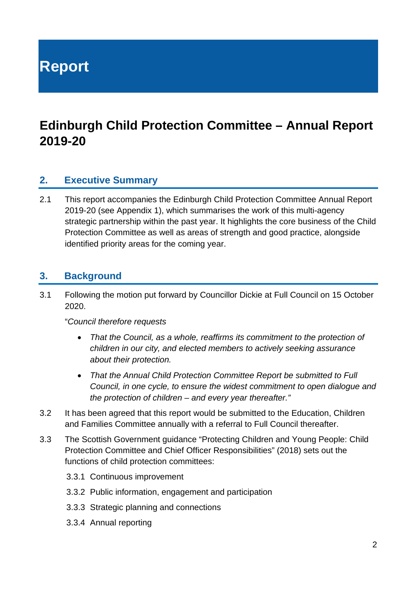**Report**

# **Edinburgh Child Protection Committee – Annual Report 2019-20**

# **2. Executive Summary**

2.1 This report accompanies the Edinburgh Child Protection Committee Annual Report 2019-20 (see Appendix 1), which summarises the work of this multi-agency strategic partnership within the past year. It highlights the core business of the Child Protection Committee as well as areas of strength and good practice, alongside identified priority areas for the coming year.

# **3. Background**

3.1 Following the motion put forward by Councillor Dickie at Full Council on 15 October 2020.

"*Council therefore requests*

- *That the Council, as a whole, reaffirms its commitment to the protection of children in our city, and elected members to actively seeking assurance about their protection.*
- *That the Annual Child Protection Committee Report be submitted to Full Council, in one cycle, to ensure the widest commitment to open dialogue and the protection of children – and every year thereafter."*
- 3.2 It has been agreed that this report would be submitted to the Education, Children and Families Committee annually with a referral to Full Council thereafter.
- 3.3 The Scottish Government guidance "Protecting Children and Young People: Child Protection Committee and Chief Officer Responsibilities" (2018) sets out the functions of child protection committees:
	- 3.3.1 Continuous improvement
	- 3.3.2 Public information, engagement and participation
	- 3.3.3 Strategic planning and connections
	- 3.3.4 Annual reporting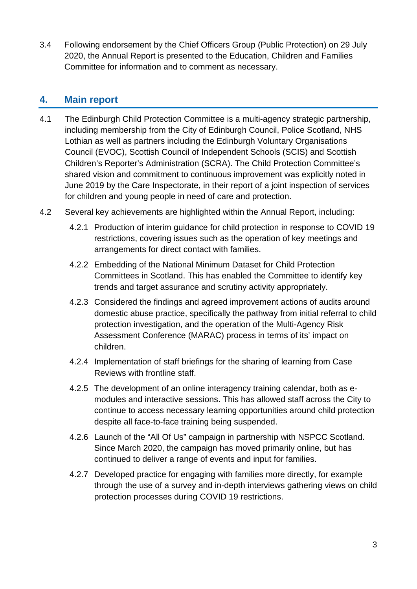3.4 Following endorsement by the Chief Officers Group (Public Protection) on 29 July 2020, the Annual Report is presented to the Education, Children and Families Committee for information and to comment as necessary.

# **4. Main report**

- 4.1 The Edinburgh Child Protection Committee is a multi-agency strategic partnership, including membership from the City of Edinburgh Council, Police Scotland, NHS Lothian as well as partners including the Edinburgh Voluntary Organisations Council (EVOC), Scottish Council of Independent Schools (SCIS) and Scottish Children's Reporter's Administration (SCRA). The Child Protection Committee's shared vision and commitment to continuous improvement was explicitly noted in June 2019 by the Care Inspectorate, in their report of a joint inspection of services for children and young people in need of care and protection.
- 4.2 Several key achievements are highlighted within the Annual Report, including:
	- 4.2.1 Production of interim guidance for child protection in response to COVID 19 restrictions, covering issues such as the operation of key meetings and arrangements for direct contact with families.
	- 4.2.2 Embedding of the National Minimum Dataset for Child Protection Committees in Scotland. This has enabled the Committee to identify key trends and target assurance and scrutiny activity appropriately.
	- 4.2.3 Considered the findings and agreed improvement actions of audits around domestic abuse practice, specifically the pathway from initial referral to child protection investigation, and the operation of the Multi-Agency Risk Assessment Conference (MARAC) process in terms of its' impact on children.
	- 4.2.4 Implementation of staff briefings for the sharing of learning from Case Reviews with frontline staff.
	- 4.2.5 The development of an online interagency training calendar, both as emodules and interactive sessions. This has allowed staff across the City to continue to access necessary learning opportunities around child protection despite all face-to-face training being suspended.
	- 4.2.6 Launch of the "All Of Us" campaign in partnership with NSPCC Scotland. Since March 2020, the campaign has moved primarily online, but has continued to deliver a range of events and input for families.
	- 4.2.7 Developed practice for engaging with families more directly, for example through the use of a survey and in-depth interviews gathering views on child protection processes during COVID 19 restrictions.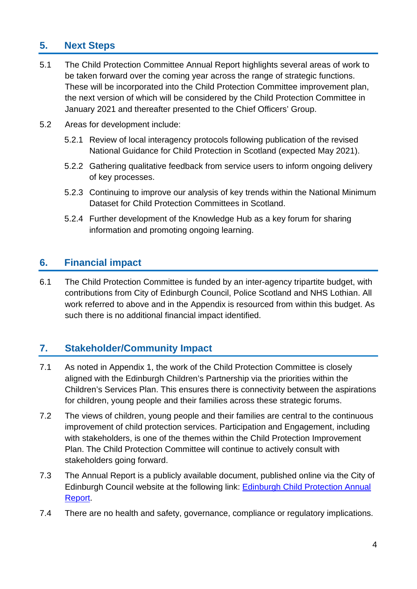# **5. Next Steps**

- 5.1 The Child Protection Committee Annual Report highlights several areas of work to be taken forward over the coming year across the range of strategic functions. These will be incorporated into the Child Protection Committee improvement plan, the next version of which will be considered by the Child Protection Committee in January 2021 and thereafter presented to the Chief Officers' Group.
- 5.2 Areas for development include:
	- 5.2.1 Review of local interagency protocols following publication of the revised National Guidance for Child Protection in Scotland (expected May 2021).
	- 5.2.2 Gathering qualitative feedback from service users to inform ongoing delivery of key processes.
	- 5.2.3 Continuing to improve our analysis of key trends within the National Minimum Dataset for Child Protection Committees in Scotland.
	- 5.2.4 Further development of the Knowledge Hub as a key forum for sharing information and promoting ongoing learning.

# **6. Financial impact**

6.1 The Child Protection Committee is funded by an inter-agency tripartite budget, with contributions from City of Edinburgh Council, Police Scotland and NHS Lothian. All work referred to above and in the Appendix is resourced from within this budget. As such there is no additional financial impact identified.

# **7. Stakeholder/Community Impact**

- 7.1 As noted in Appendix 1, the work of the Child Protection Committee is closely aligned with the Edinburgh Children's Partnership via the priorities within the Children's Services Plan. This ensures there is connectivity between the aspirations for children, young people and their families across these strategic forums.
- 7.2 The views of children, young people and their families are central to the continuous improvement of child protection services. Participation and Engagement, including with stakeholders, is one of the themes within the Child Protection Improvement Plan. The Child Protection Committee will continue to actively consult with stakeholders going forward.
- 7.3 The Annual Report is a publicly available document, published online via the City of Edinburgh Council website at the following link: [Edinburgh Child Protection Annual](https://www.edinburgh.gov.uk/downloads/file/25717/annual-report-201920)  [Report.](https://www.edinburgh.gov.uk/downloads/file/25717/annual-report-201920)
- 7.4 There are no health and safety, governance, compliance or regulatory implications.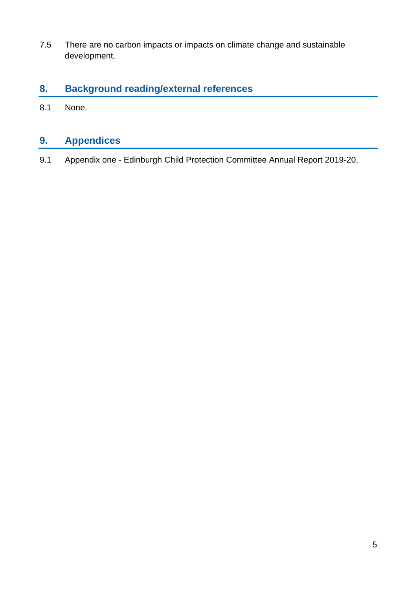7.5 There are no carbon impacts or impacts on climate change and sustainable development.

# **8. Background reading/external references**

8.1 None.

# **9. Appendices**

9.1 Appendix one - Edinburgh Child Protection Committee Annual Report 2019-20.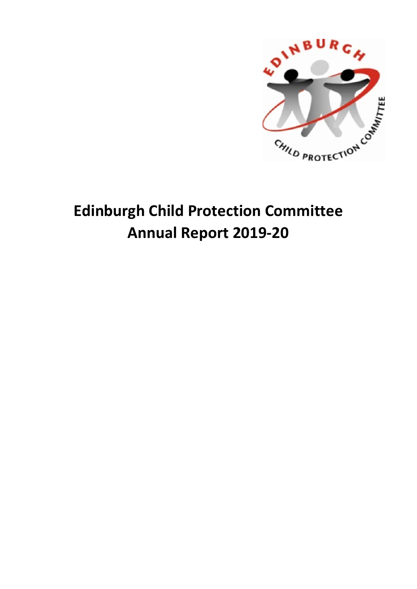

# **Edinburgh Child Protection Committee Annual Report 2019-20**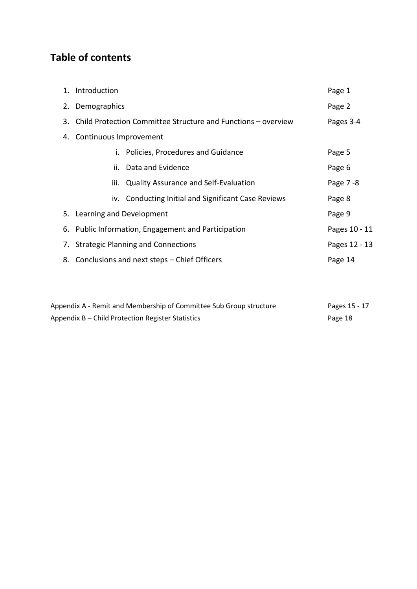# **Table of contents**

| 1. Introduction                                                  | Page 1    |  |  |  |  |  |
|------------------------------------------------------------------|-----------|--|--|--|--|--|
| 2. Demographics                                                  | Page 2    |  |  |  |  |  |
| 3. Child Protection Committee Structure and Functions - overview | Pages 3-4 |  |  |  |  |  |
| 4. Continuous Improvement                                        |           |  |  |  |  |  |
| i. Policies, Procedures and Guidance                             | Page 5    |  |  |  |  |  |
| ii. Data and Evidence                                            | Page 6    |  |  |  |  |  |
| iii. Quality Assurance and Self-Evaluation                       | Page 7-8  |  |  |  |  |  |
| iv. Conducting Initial and Significant Case Reviews              | Page 8    |  |  |  |  |  |
| 5. Learning and Development                                      | Page 9    |  |  |  |  |  |
| 6. Public Information, Engagement and Participation              |           |  |  |  |  |  |
| 7. Strategic Planning and Connections<br>Pages 12 - 13           |           |  |  |  |  |  |
| 8. Conclusions and next steps – Chief Officers<br>Page 14        |           |  |  |  |  |  |

| Appendix A - Remit and Membership of Committee Sub Group structure | Pages 15 - 17 |
|--------------------------------------------------------------------|---------------|
| Appendix B – Child Protection Register Statistics                  | Page 18       |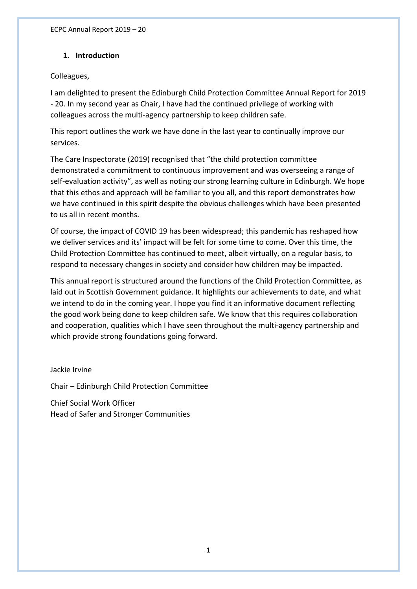## **1. Introduction**

## Colleagues,

I am delighted to present the Edinburgh Child Protection Committee Annual Report for 2019 - 20. In my second year as Chair, I have had the continued privilege of working with colleagues across the multi-agency partnership to keep children safe.

This report outlines the work we have done in the last year to continually improve our services.

The Care Inspectorate (2019) recognised that "the child protection committee demonstrated a commitment to continuous improvement and was overseeing a range of self-evaluation activity", as well as noting our strong learning culture in Edinburgh. We hope that this ethos and approach will be familiar to you all, and this report demonstrates how we have continued in this spirit despite the obvious challenges which have been presented to us all in recent months.

Of course, the impact of COVID 19 has been widespread; this pandemic has reshaped how we deliver services and its' impact will be felt for some time to come. Over this time, the Child Protection Committee has continued to meet, albeit virtually, on a regular basis, to respond to necessary changes in society and consider how children may be impacted.

This annual report is structured around the functions of the Child Protection Committee, as laid out in Scottish Government guidance. It highlights our achievements to date, and what we intend to do in the coming year. I hope you find it an informative document reflecting the good work being done to keep children safe. We know that this requires collaboration and cooperation, qualities which I have seen throughout the multi-agency partnership and which provide strong foundations going forward.

Jackie Irvine

Chair – Edinburgh Child Protection Committee

Chief Social Work Officer Head of Safer and Stronger Communities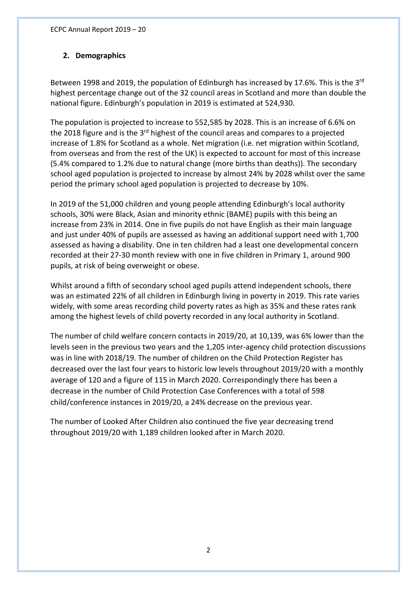## **2. Demographics**

Between 1998 and 2019, the population of Edinburgh has increased by 17.6%. This is the 3<sup>rd</sup> highest percentage change out of the 32 council areas in Scotland and more than double the national figure. Edinburgh's population in 2019 is estimated at 524,930.

The population is projected to increase to 552,585 by 2028. This is an increase of 6.6% on the 2018 figure and is the 3<sup>rd</sup> highest of the council areas and compares to a projected increase of 1.8% for Scotland as a whole. Net migration (i.e. net migration within Scotland, from overseas and from the rest of the UK) is expected to account for most of this increase (5.4% compared to 1.2% due to natural change (more births than deaths)). The secondary school aged population is projected to increase by almost 24% by 2028 whilst over the same period the primary school aged population is projected to decrease by 10%.

In 2019 of the 51,000 children and young people attending Edinburgh's local authority schools, 30% were Black, Asian and minority ethnic (BAME) pupils with this being an increase from 23% in 2014. One in five pupils do not have English as their main language and just under 40% of pupils are assessed as having an additional support need with 1,700 assessed as having a disability. One in ten children had a least one developmental concern recorded at their 27-30 month review with one in five children in Primary 1, around 900 pupils, at risk of being overweight or obese.

Whilst around a fifth of secondary school aged pupils attend independent schools, there was an estimated 22% of all children in Edinburgh living in poverty in 2019. This rate varies widely, with some areas recording child poverty rates as high as 35% and these rates rank among the highest levels of child poverty recorded in any local authority in Scotland.

The number of child welfare concern contacts in 2019/20, at 10,139, was 6% lower than the levels seen in the previous two years and the 1,205 inter-agency child protection discussions was in line with 2018/19. The number of children on the Child Protection Register has decreased over the last four years to historic low levels throughout 2019/20 with a monthly average of 120 and a figure of 115 in March 2020. Correspondingly there has been a decrease in the number of Child Protection Case Conferences with a total of 598 child/conference instances in 2019/20, a 24% decrease on the previous year.

The number of Looked After Children also continued the five year decreasing trend throughout 2019/20 with 1,189 children looked after in March 2020.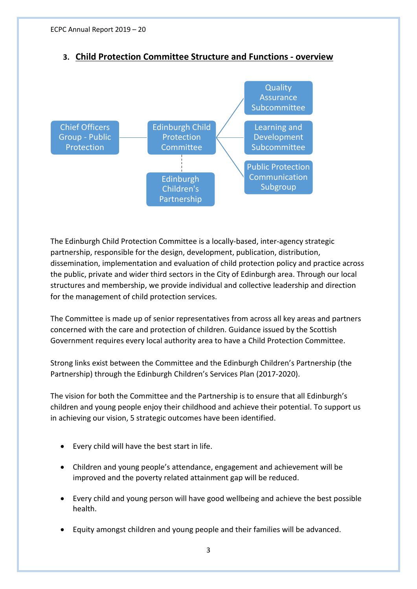

# **3. Child Protection Committee Structure and Functions - overview**

The Edinburgh Child Protection Committee is a locally-based, inter-agency strategic partnership, responsible for the design, development, publication, distribution, dissemination, implementation and evaluation of child protection policy and practice across the public, private and wider third sectors in the City of Edinburgh area. Through our local structures and membership, we provide individual and collective leadership and direction for the management of child protection services.

The Committee is made up of senior representatives from across all key areas and partners concerned with the care and protection of children. Guidance issued by the Scottish Government requires every local authority area to have a Child Protection Committee.

Strong links exist between the Committee and the Edinburgh Children's Partnership (the Partnership) through the Edinburgh Children's Services Plan (2017-2020).

The vision for both the Committee and the Partnership is to ensure that all Edinburgh's children and young people enjoy their childhood and achieve their potential. To support us in achieving our vision, 5 strategic outcomes have been identified.

- Every child will have the best start in life.
- Children and young people's attendance, engagement and achievement will be improved and the poverty related attainment gap will be reduced.
- Every child and young person will have good wellbeing and achieve the best possible health.
- Equity amongst children and young people and their families will be advanced.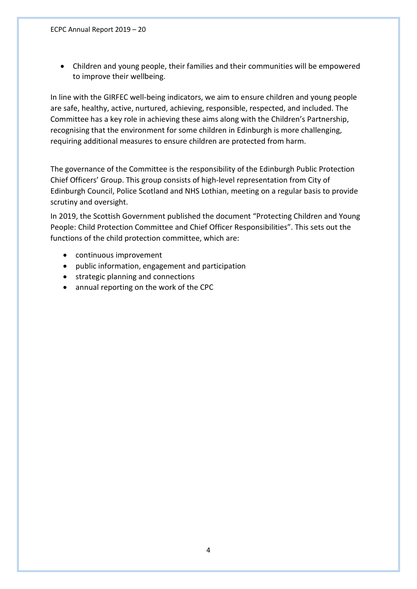• Children and young people, their families and their communities will be empowered to improve their wellbeing.

In line with the GIRFEC well-being indicators, we aim to ensure children and young people are safe, healthy, active, nurtured, achieving, responsible, respected, and included. The Committee has a key role in achieving these aims along with the Children's Partnership, recognising that the environment for some children in Edinburgh is more challenging, requiring additional measures to ensure children are protected from harm.

The governance of the Committee is the responsibility of the Edinburgh Public Protection Chief Officers' Group. This group consists of high-level representation from City of Edinburgh Council, Police Scotland and NHS Lothian, meeting on a regular basis to provide scrutiny and oversight.

In 2019, the Scottish Government published the document "Protecting Children and Young People: Child Protection Committee and Chief Officer Responsibilities". This sets out the functions of the child protection committee, which are:

- continuous improvement
- public information, engagement and participation
- strategic planning and connections
- annual reporting on the work of the CPC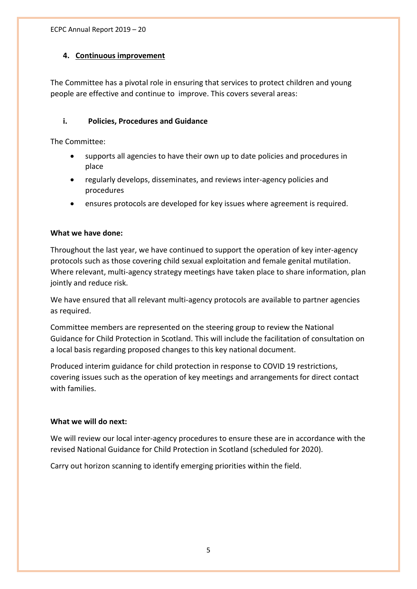## **4. Continuous improvement**

The Committee has a pivotal role in ensuring that services to protect children and young people are effective and continue to improve. This covers several areas:

## **i. Policies, Procedures and Guidance**

The Committee:

- supports all agencies to have their own up to date policies and procedures in place
- regularly develops, disseminates, and reviews inter-agency policies and procedures
- ensures protocols are developed for key issues where agreement is required.

## **What we have done:**

Throughout the last year, we have continued to support the operation of key inter-agency protocols such as those covering child sexual exploitation and female genital mutilation. Where relevant, multi-agency strategy meetings have taken place to share information, plan jointly and reduce risk.

We have ensured that all relevant multi-agency protocols are available to partner agencies as required.

Committee members are represented on the steering group to review the National Guidance for Child Protection in Scotland. This will include the facilitation of consultation on a local basis regarding proposed changes to this key national document.

Produced interim guidance for child protection in response to COVID 19 restrictions, covering issues such as the operation of key meetings and arrangements for direct contact with families.

#### **What we will do next:**

We will review our local inter-agency procedures to ensure these are in accordance with the revised National Guidance for Child Protection in Scotland (scheduled for 2020).

Carry out horizon scanning to identify emerging priorities within the field.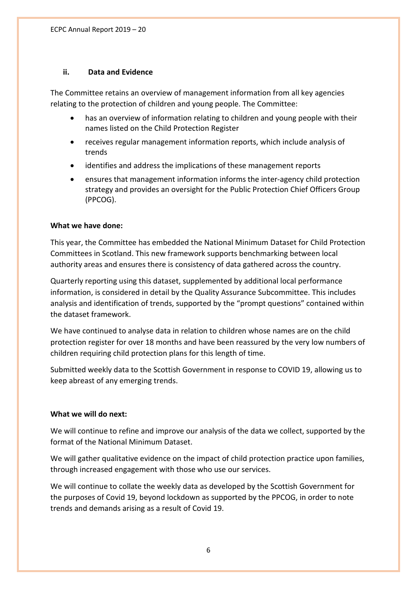### **ii. Data and Evidence**

The Committee retains an overview of management information from all key agencies relating to the protection of children and young people. The Committee:

- has an overview of information relating to children and young people with their names listed on the Child Protection Register
- receives regular management information reports, which include analysis of trends
- identifies and address the implications of these management reports
- ensures that management information informs the inter-agency child protection strategy and provides an oversight for the Public Protection Chief Officers Group (PPCOG).

## **What we have done:**

This year, the Committee has embedded the National Minimum Dataset for Child Protection Committees in Scotland. This new framework supports benchmarking between local authority areas and ensures there is consistency of data gathered across the country.

Quarterly reporting using this dataset, supplemented by additional local performance information, is considered in detail by the Quality Assurance Subcommittee. This includes analysis and identification of trends, supported by the "prompt questions" contained within the dataset framework.

We have continued to analyse data in relation to children whose names are on the child protection register for over 18 months and have been reassured by the very low numbers of children requiring child protection plans for this length of time.

Submitted weekly data to the Scottish Government in response to COVID 19, allowing us to keep abreast of any emerging trends.

## **What we will do next:**

We will continue to refine and improve our analysis of the data we collect, supported by the format of the National Minimum Dataset.

We will gather qualitative evidence on the impact of child protection practice upon families, through increased engagement with those who use our services.

We will continue to collate the weekly data as developed by the Scottish Government for the purposes of Covid 19, beyond lockdown as supported by the PPCOG, in order to note trends and demands arising as a result of Covid 19.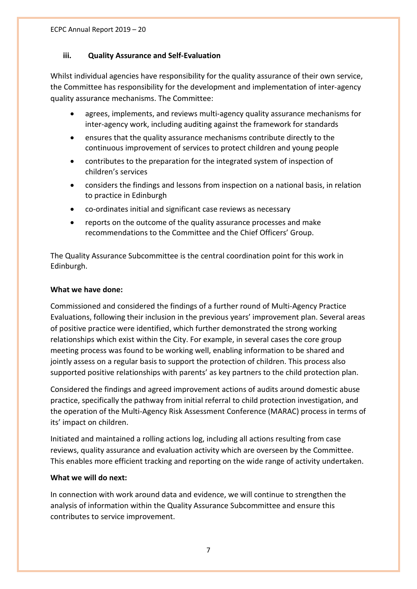## **iii. Quality Assurance and Self-Evaluation**

Whilst individual agencies have responsibility for the quality assurance of their own service, the Committee has responsibility for the development and implementation of inter-agency quality assurance mechanisms. The Committee:

- agrees, implements, and reviews multi-agency quality assurance mechanisms for inter-agency work, including auditing against the framework for standards
- ensures that the quality assurance mechanisms contribute directly to the continuous improvement of services to protect children and young people
- contributes to the preparation for the integrated system of inspection of children's services
- considers the findings and lessons from inspection on a national basis, in relation to practice in Edinburgh
- co-ordinates initial and significant case reviews as necessary
- reports on the outcome of the quality assurance processes and make recommendations to the Committee and the Chief Officers' Group.

The Quality Assurance Subcommittee is the central coordination point for this work in Edinburgh.

#### **What we have done:**

Commissioned and considered the findings of a further round of Multi-Agency Practice Evaluations, following their inclusion in the previous years' improvement plan. Several areas of positive practice were identified, which further demonstrated the strong working relationships which exist within the City. For example, in several cases the core group meeting process was found to be working well, enabling information to be shared and jointly assess on a regular basis to support the protection of children. This process also supported positive relationships with parents' as key partners to the child protection plan.

Considered the findings and agreed improvement actions of audits around domestic abuse practice, specifically the pathway from initial referral to child protection investigation, and the operation of the Multi-Agency Risk Assessment Conference (MARAC) process in terms of its' impact on children.

Initiated and maintained a rolling actions log, including all actions resulting from case reviews, quality assurance and evaluation activity which are overseen by the Committee. This enables more efficient tracking and reporting on the wide range of activity undertaken.

#### **What we will do next:**

In connection with work around data and evidence, we will continue to strengthen the analysis of information within the Quality Assurance Subcommittee and ensure this contributes to service improvement.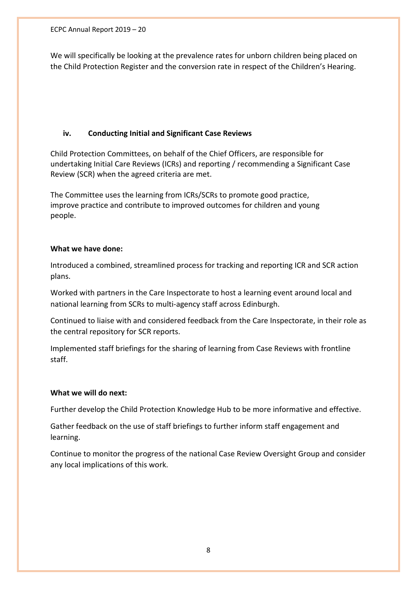ECPC Annual Report 2019 – 20

We will specifically be looking at the prevalence rates for unborn children being placed on the Child Protection Register and the conversion rate in respect of the Children's Hearing.

## **iv. Conducting Initial and Significant Case Reviews**

Child Protection Committees, on behalf of the Chief Officers, are responsible for undertaking Initial Care Reviews (ICRs) and reporting / recommending a Significant Case Review (SCR) when the agreed criteria are met.

The Committee uses the learning from ICRs/SCRs to promote good practice, improve practice and contribute to improved outcomes for children and young people.

#### **What we have done:**

Introduced a combined, streamlined process for tracking and reporting ICR and SCR action plans.

Worked with partners in the Care Inspectorate to host a learning event around local and national learning from SCRs to multi-agency staff across Edinburgh.

Continued to liaise with and considered feedback from the Care Inspectorate, in their role as the central repository for SCR reports.

Implemented staff briefings for the sharing of learning from Case Reviews with frontline staff.

#### **What we will do next:**

Further develop the Child Protection Knowledge Hub to be more informative and effective.

Gather feedback on the use of staff briefings to further inform staff engagement and learning.

Continue to monitor the progress of the national Case Review Oversight Group and consider any local implications of this work.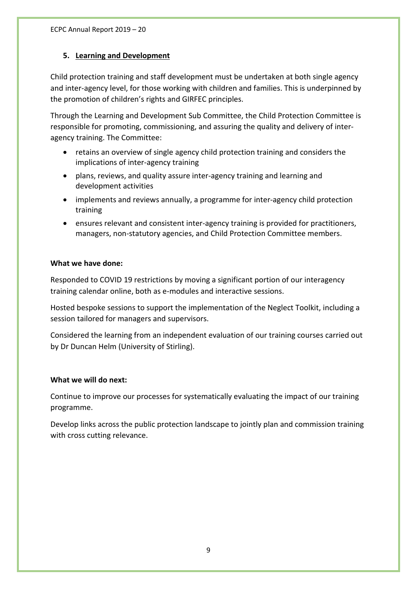## **5. Learning and Development**

Child protection training and staff development must be undertaken at both single agency and inter-agency level, for those working with children and families. This is underpinned by the promotion of children's rights and GIRFEC principles.

Through the Learning and Development Sub Committee, the Child Protection Committee is responsible for promoting, commissioning, and assuring the quality and delivery of interagency training. The Committee:

- retains an overview of single agency child protection training and considers the implications of inter-agency training
- plans, reviews, and quality assure inter-agency training and learning and development activities
- implements and reviews annually, a programme for inter-agency child protection training
- ensures relevant and consistent inter-agency training is provided for practitioners, managers, non-statutory agencies, and Child Protection Committee members.

#### **What we have done:**

Responded to COVID 19 restrictions by moving a significant portion of our interagency training calendar online, both as e-modules and interactive sessions.

Hosted bespoke sessions to support the implementation of the Neglect Toolkit, including a session tailored for managers and supervisors.

Considered the learning from an independent evaluation of our training courses carried out by Dr Duncan Helm (University of Stirling).

#### **What we will do next:**

Continue to improve our processes for systematically evaluating the impact of our training programme.

Develop links across the public protection landscape to jointly plan and commission training with cross cutting relevance.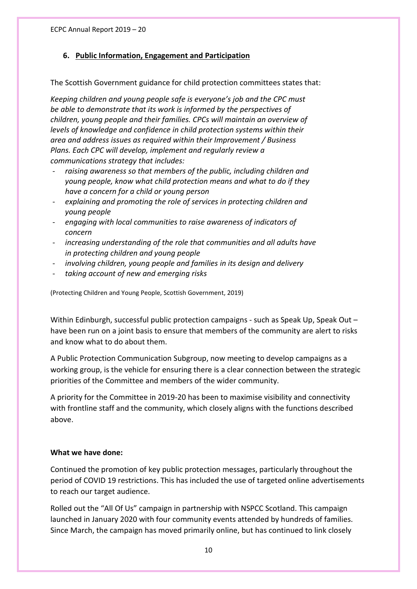## **6. Public Information, Engagement and Participation**

The Scottish Government guidance for child protection committees states that:

*Keeping children and young people safe is everyone's job and the CPC must be able to demonstrate that its work is informed by the perspectives of children, young people and their families. CPCs will maintain an overview of levels of knowledge and confidence in child protection systems within their area and address issues as required within their Improvement / Business Plans. Each CPC will develop, implement and regularly review a communications strategy that includes:*

- raising awareness so that members of the public, including children and *young people, know what child protection means and what to do if they have a concern for a child or young person*
- *explaining and promoting the role of services in protecting children and young people*
- *engaging with local communities to raise awareness of indicators of concern*
- *increasing understanding of the role that communities and all adults have in protecting children and young people*
- *involving children, young people and families in its design and delivery*
- *taking account of new and emerging risks*

(Protecting Children and Young People, Scottish Government, 2019)

Within Edinburgh, successful public protection campaigns - such as Speak Up, Speak Out – have been run on a joint basis to ensure that members of the community are alert to risks and know what to do about them.

A Public Protection Communication Subgroup, now meeting to develop campaigns as a working group, is the vehicle for ensuring there is a clear connection between the strategic priorities of the Committee and members of the wider community.

A priority for the Committee in 2019-20 has been to maximise visibility and connectivity with frontline staff and the community, which closely aligns with the functions described above.

#### **What we have done:**

Continued the promotion of key public protection messages, particularly throughout the period of COVID 19 restrictions. This has included the use of targeted online advertisements to reach our target audience.

Rolled out the "All Of Us" campaign in partnership with NSPCC Scotland. This campaign launched in January 2020 with four community events attended by hundreds of families. Since March, the campaign has moved primarily online, but has continued to link closely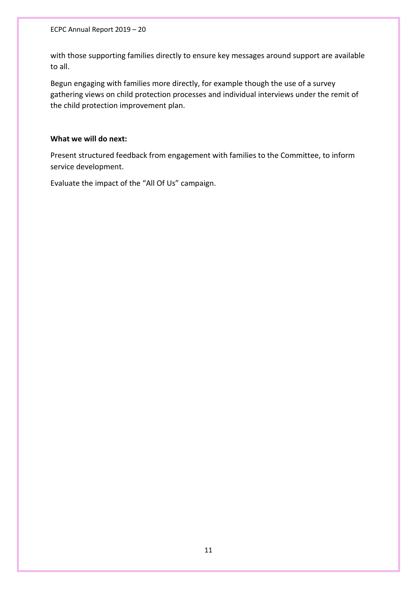ECPC Annual Report 2019 – 20

with those supporting families directly to ensure key messages around support are available to all.

Begun engaging with families more directly, for example though the use of a survey gathering views on child protection processes and individual interviews under the remit of the child protection improvement plan.

#### **What we will do next:**

Present structured feedback from engagement with families to the Committee, to inform service development.

Evaluate the impact of the "All Of Us" campaign.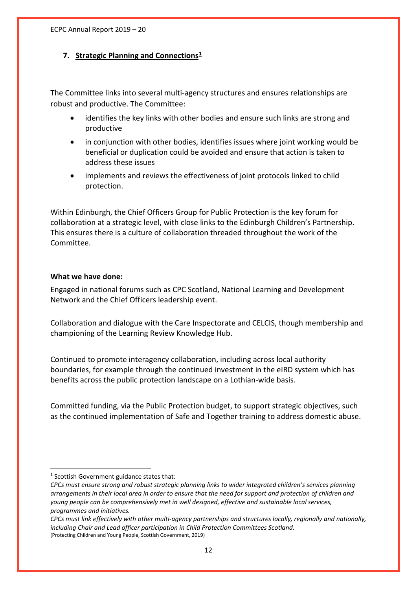## **7. Strategic Planning and Connections[1](#page-18-0)**

The Committee links into several multi-agency structures and ensures relationships are robust and productive. The Committee:

- identifies the key links with other bodies and ensure such links are strong and productive
- in conjunction with other bodies, identifies issues where joint working would be beneficial or duplication could be avoided and ensure that action is taken to address these issues
- implements and reviews the effectiveness of joint protocols linked to child protection.

Within Edinburgh, the Chief Officers Group for Public Protection is the key forum for collaboration at a strategic level, with close links to the Edinburgh Children's Partnership. This ensures there is a culture of collaboration threaded throughout the work of the Committee.

#### **What we have done:**

Engaged in national forums such as CPC Scotland, National Learning and Development Network and the Chief Officers leadership event.

Collaboration and dialogue with the Care Inspectorate and CELCIS, though membership and championing of the Learning Review Knowledge Hub.

Continued to promote interagency collaboration, including across local authority boundaries, for example through the continued investment in the eIRD system which has benefits across the public protection landscape on a Lothian-wide basis.

Committed funding, via the Public Protection budget, to support strategic objectives, such as the continued implementation of Safe and Together training to address domestic abuse.

<span id="page-18-0"></span><sup>&</sup>lt;sup>1</sup> Scottish Government guidance states that:

*CPCs must ensure strong and robust strategic planning links to wider integrated children's services planning arrangements in their local area in order to ensure that the need for support and protection of children and young people can be comprehensively met in well designed, effective and sustainable local services, programmes and initiatives.* 

*CPCs must link effectively with other multi-agency partnerships and structures locally, regionally and nationally, including Chair and Lead officer participation in Child Protection Committees Scotland.* (Protecting Children and Young People, Scottish Government, 2019)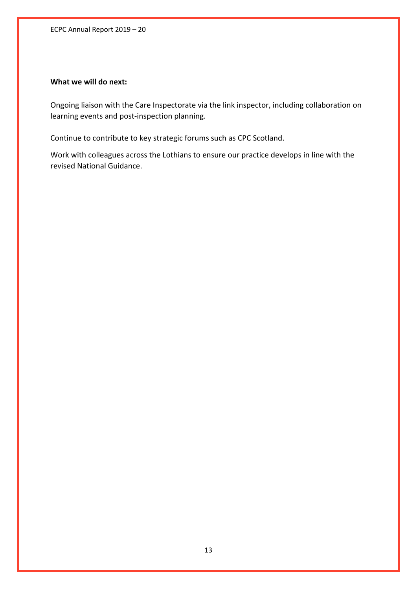ECPC Annual Report 2019 – 20

## **What we will do next:**

Ongoing liaison with the Care Inspectorate via the link inspector, including collaboration on learning events and post-inspection planning.

Continue to contribute to key strategic forums such as CPC Scotland.

Work with colleagues across the Lothians to ensure our practice develops in line with the revised National Guidance.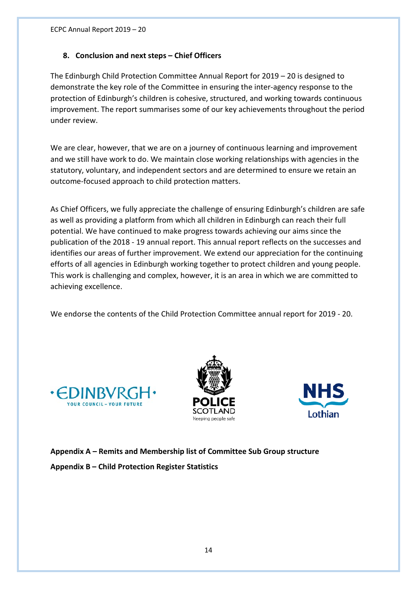## **8. Conclusion and next steps – Chief Officers**

The Edinburgh Child Protection Committee Annual Report for 2019 – 20 is designed to demonstrate the key role of the Committee in ensuring the inter-agency response to the protection of Edinburgh's children is cohesive, structured, and working towards continuous improvement. The report summarises some of our key achievements throughout the period under review.

We are clear, however, that we are on a journey of continuous learning and improvement and we still have work to do. We maintain close working relationships with agencies in the statutory, voluntary, and independent sectors and are determined to ensure we retain an outcome-focused approach to child protection matters.

As Chief Officers, we fully appreciate the challenge of ensuring Edinburgh's children are safe as well as providing a platform from which all children in Edinburgh can reach their full potential. We have continued to make progress towards achieving our aims since the publication of the 2018 - 19 annual report. This annual report reflects on the successes and identifies our areas of further improvement. We extend our appreciation for the continuing efforts of all agencies in Edinburgh working together to protect children and young people. This work is challenging and complex, however, it is an area in which we are committed to achieving excellence.

We endorse the contents of the Child Protection Committee annual report for 2019 - 20.







**Appendix A – Remits and Membership list of Committee Sub Group structure Appendix B – Child Protection Register Statistics**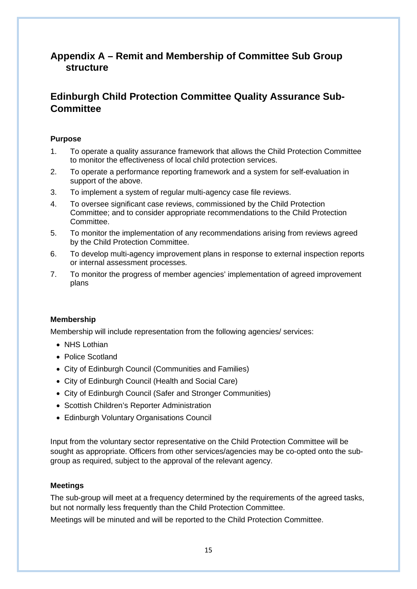# **Appendix A – Remit and Membership of Committee Sub Group structure**

# **Edinburgh Child Protection Committee Quality Assurance Sub-Committee**

## **Purpose**

- 1. To operate a quality assurance framework that allows the Child Protection Committee to monitor the effectiveness of local child protection services.
- 2. To operate a performance reporting framework and a system for self-evaluation in support of the above.
- 3. To implement a system of regular multi-agency case file reviews.
- 4. To oversee significant case reviews, commissioned by the Child Protection Committee; and to consider appropriate recommendations to the Child Protection Committee.
- 5. To monitor the implementation of any recommendations arising from reviews agreed by the Child Protection Committee.
- 6. To develop multi-agency improvement plans in response to external inspection reports or internal assessment processes.
- 7. To monitor the progress of member agencies' implementation of agreed improvement plans

#### **Membership**

Membership will include representation from the following agencies/ services:

- NHS Lothian
- Police Scotland
- City of Edinburgh Council (Communities and Families)
- City of Edinburgh Council (Health and Social Care)
- City of Edinburgh Council (Safer and Stronger Communities)
- Scottish Children's Reporter Administration
- Edinburgh Voluntary Organisations Council

Input from the voluntary sector representative on the Child Protection Committee will be sought as appropriate. Officers from other services/agencies may be co-opted onto the subgroup as required, subject to the approval of the relevant agency.

#### **Meetings**

The sub-group will meet at a frequency determined by the requirements of the agreed tasks, but not normally less frequently than the Child Protection Committee.

Meetings will be minuted and will be reported to the Child Protection Committee.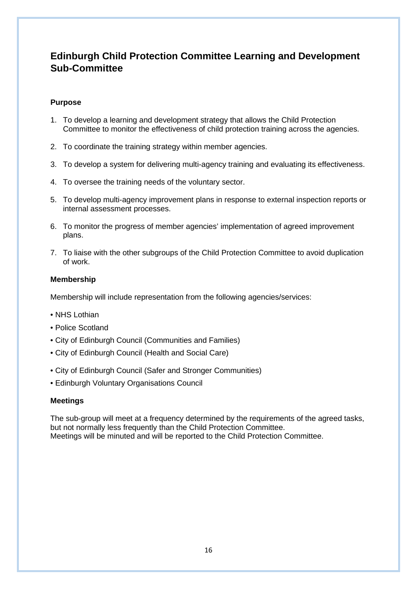# **Edinburgh Child Protection Committee Learning and Development Sub-Committee**

## **Purpose**

- 1. To develop a learning and development strategy that allows the Child Protection Committee to monitor the effectiveness of child protection training across the agencies.
- 2. To coordinate the training strategy within member agencies.
- 3. To develop a system for delivering multi-agency training and evaluating its effectiveness.
- 4. To oversee the training needs of the voluntary sector.
- 5. To develop multi-agency improvement plans in response to external inspection reports or internal assessment processes.
- 6. To monitor the progress of member agencies' implementation of agreed improvement plans.
- 7. To liaise with the other subgroups of the Child Protection Committee to avoid duplication of work.

#### **Membership**

Membership will include representation from the following agencies/services:

- NHS Lothian
- Police Scotland
- City of Edinburgh Council (Communities and Families)
- City of Edinburgh Council (Health and Social Care)
- City of Edinburgh Council (Safer and Stronger Communities)
- Edinburgh Voluntary Organisations Council

#### **Meetings**

The sub-group will meet at a frequency determined by the requirements of the agreed tasks, but not normally less frequently than the Child Protection Committee. Meetings will be minuted and will be reported to the Child Protection Committee.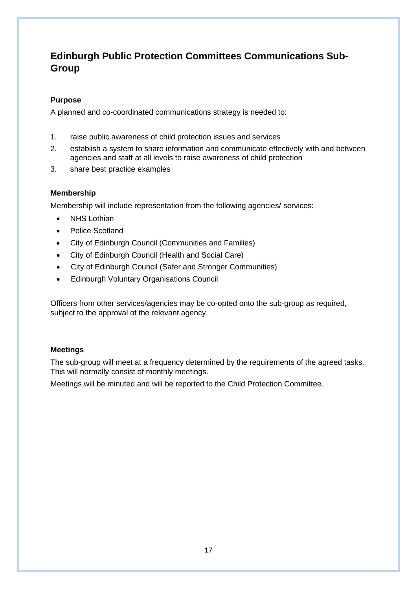# **Edinburgh Public Protection Committees Communications Sub-Group**

## **Purpose**

A planned and co-coordinated communications strategy is needed to:

- 1. raise public awareness of child protection issues and services
- 2. establish a system to share information and communicate effectively with and between agencies and staff at all levels to raise awareness of child protection
- 3. share best practice examples

## **Membership**

Membership will include representation from the following agencies/ services:

- NHS Lothian
- Police Scotland
- City of Edinburgh Council (Communities and Families)
- City of Edinburgh Council (Health and Social Care)
- City of Edinburgh Council (Safer and Stronger Communities)
- Edinburgh Voluntary Organisations Council

Officers from other services/agencies may be co-opted onto the sub-group as required, subject to the approval of the relevant agency.

## **Meetings**

The sub-group will meet at a frequency determined by the requirements of the agreed tasks. This will normally consist of monthly meetings.

Meetings will be minuted and will be reported to the Child Protection Committee.